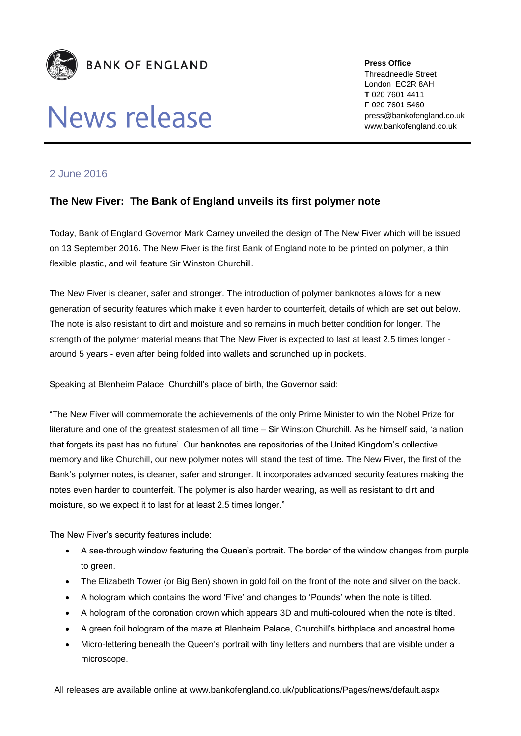

# News release

**Press Office** Threadneedle Street London EC2R 8AH **T** 020 7601 4411 **F** 020 7601 5460 press@bankofengland.co.uk www.bankofengland.co.uk

### 2 June 2016

## **The New Fiver: The Bank of England unveils its first polymer note**

Today, Bank of England Governor Mark Carney unveiled the design of The New Fiver which will be issued on 13 September 2016. The New Fiver is the first Bank of England note to be printed on polymer, a thin flexible plastic, and will feature Sir Winston Churchill.

The New Fiver is cleaner, safer and stronger. The introduction of polymer banknotes allows for a new generation of security features which make it even harder to counterfeit, details of which are set out below. The note is also resistant to dirt and moisture and so remains in much better condition for longer. The strength of the polymer material means that The New Fiver is expected to last at least 2.5 times longer around 5 years - even after being folded into wallets and scrunched up in pockets.

Speaking at Blenheim Palace, Churchill's place of birth, the Governor said:

"The New Fiver will commemorate the achievements of the only Prime Minister to win the Nobel Prize for literature and one of the greatest statesmen of all time – Sir Winston Churchill. As he himself said, 'a nation that forgets its past has no future'. Our banknotes are repositories of the United Kingdom's collective memory and like Churchill, our new polymer notes will stand the test of time. The New Fiver, the first of the Bank's polymer notes, is cleaner, safer and stronger. It incorporates advanced security features making the notes even harder to counterfeit. The polymer is also harder wearing, as well as resistant to dirt and moisture, so we expect it to last for at least 2.5 times longer."

The New Fiver's security features include:

- A see-through window featuring the Queen's portrait. The border of the window changes from purple to green.
- The Elizabeth Tower (or Big Ben) shown in gold foil on the front of the note and silver on the back.
- A hologram which contains the word 'Five' and changes to 'Pounds' when the note is tilted.
- A hologram of the coronation crown which appears 3D and multi-coloured when the note is tilted.
- A green foil hologram of the maze at Blenheim Palace, Churchill's birthplace and ancestral home.
- Micro-lettering beneath the Queen's portrait with tiny letters and numbers that are visible under a microscope.

All releases are available online at www.bankofengland.co.uk/publications/Pages/news/default.aspx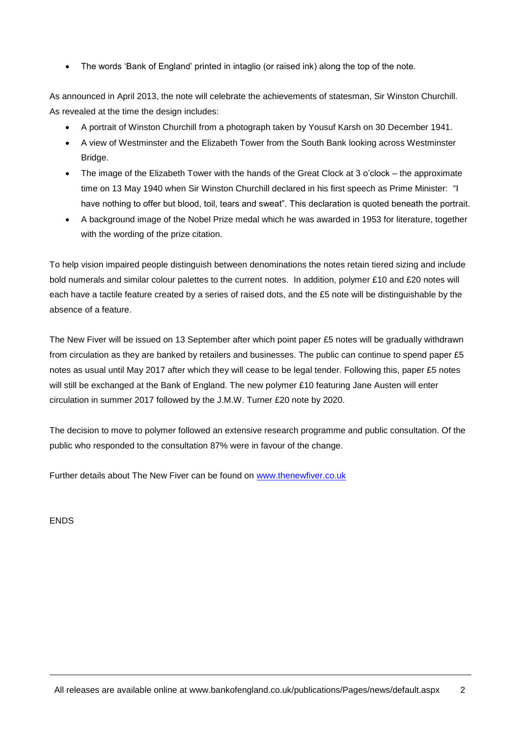The words 'Bank of England' printed in intaglio (or raised ink) along the top of the note.

As announced in April 2013, the note will celebrate the achievements of statesman, Sir Winston Churchill. As revealed at the time the design includes:

- A portrait of Winston Churchill from a photograph taken by Yousuf Karsh on 30 December 1941.
- A view of Westminster and the Elizabeth Tower from the South Bank looking across Westminster Bridge.
- The image of the Elizabeth Tower with the hands of the Great Clock at 3 o'clock the approximate time on 13 May 1940 when Sir Winston Churchill declared in his first speech as Prime Minister: "I have nothing to offer but blood, toil, tears and sweat". This declaration is quoted beneath the portrait.
- A background image of the Nobel Prize medal which he was awarded in 1953 for literature, together with the wording of the prize citation.

To help vision impaired people distinguish between denominations the notes retain tiered sizing and include bold numerals and similar colour palettes to the current notes. In addition, polymer £10 and £20 notes will each have a tactile feature created by a series of raised dots, and the £5 note will be distinguishable by the absence of a feature.

The New Fiver will be issued on 13 September after which point paper £5 notes will be gradually withdrawn from circulation as they are banked by retailers and businesses. The public can continue to spend paper £5 notes as usual until May 2017 after which they will cease to be legal tender. Following this, paper £5 notes will still be exchanged at the Bank of England. The new polymer £10 featuring Jane Austen will enter circulation in summer 2017 followed by the J.M.W. Turner £20 note by 2020.

The decision to move to polymer followed an extensive research programme and public consultation. Of the public who responded to the consultation 87% were in favour of the change.

Further details about The New Fiver can be found on [www.thenewfiver.co.uk](http://www.thenewfiver.co.uk/)

ENDS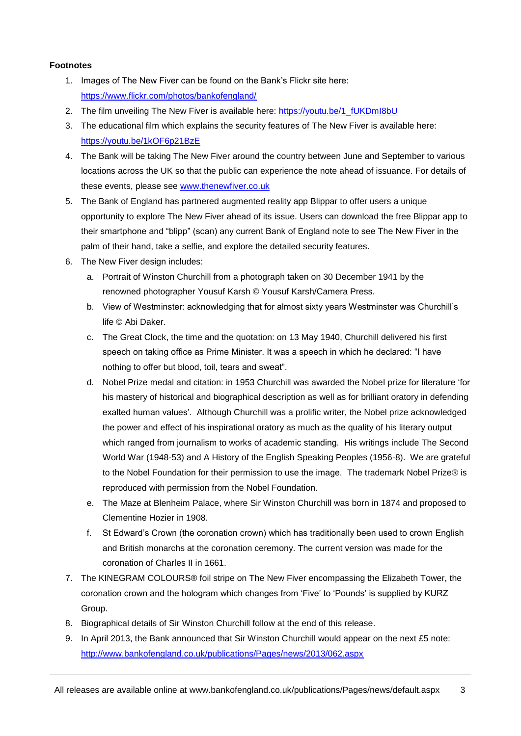#### **Footnotes**

- 1. Images of The New Fiver can be found on the Bank's Flickr site here: <https://www.flickr.com/photos/bankofengland/>
- 2. The film unveiling The New Fiver is available here: [https://youtu.be/1\\_fUKDmI8bU](https://youtu.be/1_fUKDmI8bU)
- 3. The educational film which explains the security features of The New Fiver is available here: <https://youtu.be/1kOF6p21BzE>
- 4. The Bank will be taking The New Fiver around the country between June and September to various locations across the UK so that the public can experience the note ahead of issuance. For details of these events, please see [www.thenewfiver.co.uk](http://www.thenewfiver.co.uk/)
- 5. The Bank of England has partnered augmented reality app Blippar to offer users a unique opportunity to explore The New Fiver ahead of its issue. Users can download the free Blippar app to their smartphone and "blipp" (scan) any current Bank of England note to see The New Fiver in the palm of their hand, take a selfie, and explore the detailed security features.
- 6. The New Fiver design includes:
	- a. Portrait of Winston Churchill from a photograph taken on 30 December 1941 by the renowned photographer Yousuf Karsh © Yousuf Karsh/Camera Press.
	- b. View of Westminster: acknowledging that for almost sixty years Westminster was Churchill's life © Abi Daker.
	- c. The Great Clock, the time and the quotation: on 13 May 1940, Churchill delivered his first speech on taking office as Prime Minister. It was a speech in which he declared: "I have nothing to offer but blood, toil, tears and sweat".
	- d. Nobel Prize medal and citation: in 1953 Churchill was awarded the Nobel prize for literature 'for his mastery of historical and biographical description as well as for brilliant oratory in defending exalted human values'. Although Churchill was a prolific writer, the Nobel prize acknowledged the power and effect of his inspirational oratory as much as the quality of his literary output which ranged from journalism to works of academic standing. His writings include The Second World War (1948-53) and A History of the English Speaking Peoples (1956-8). We are grateful to the Nobel Foundation for their permission to use the image. The trademark Nobel Prize® is reproduced with permission from the Nobel Foundation.
	- e. The Maze at Blenheim Palace, where Sir Winston Churchill was born in 1874 and proposed to Clementine Hozier in 1908.
	- f. St Edward's Crown (the coronation crown) which has traditionally been used to crown English and British monarchs at the coronation ceremony. The current version was made for the coronation of Charles II in 1661.
- 7. The KINEGRAM COLOURS® foil stripe on The New Fiver encompassing the Elizabeth Tower, the coronation crown and the hologram which changes from 'Five' to 'Pounds' is supplied by KURZ Group.
- 8. Biographical details of Sir Winston Churchill follow at the end of this release.
- 9. In April 2013, the Bank announced that Sir Winston Churchill would appear on the next £5 note: <http://www.bankofengland.co.uk/publications/Pages/news/2013/062.aspx>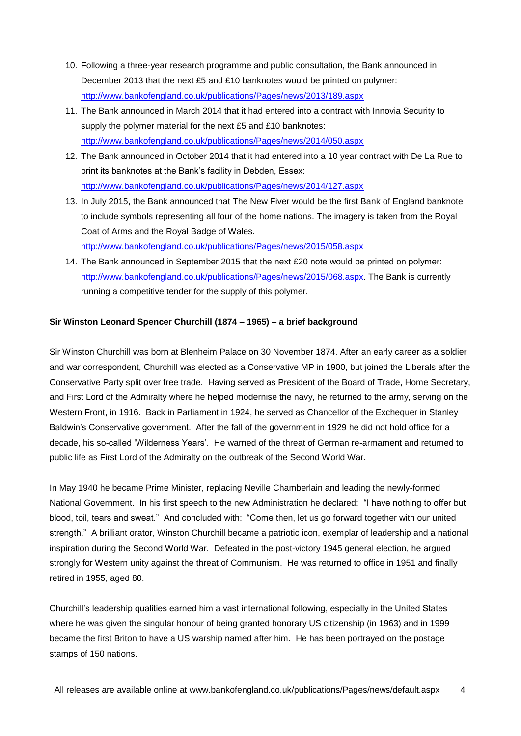- 10. Following a three-year research programme and public consultation, the Bank announced in December 2013 that the next £5 and £10 banknotes would be printed on polymer: <http://www.bankofengland.co.uk/publications/Pages/news/2013/189.aspx>
- 11. The Bank announced in March 2014 that it had entered into a contract with Innovia Security to supply the polymer material for the next £5 and £10 banknotes: <http://www.bankofengland.co.uk/publications/Pages/news/2014/050.aspx>
- 12. The Bank announced in October 2014 that it had entered into a 10 year contract with De La Rue to print its banknotes at the Bank's facility in Debden, Essex: <http://www.bankofengland.co.uk/publications/Pages/news/2014/127.aspx>
- 13. In July 2015, the Bank announced that The New Fiver would be the first Bank of England banknote to include symbols representing all four of the home nations. The imagery is taken from the Royal Coat of Arms and the Royal Badge of Wales. <http://www.bankofengland.co.uk/publications/Pages/news/2015/058.aspx>
- 14. The Bank announced in September 2015 that the next £20 note would be printed on polymer: [http://www.bankofengland.co.uk/publications/Pages/news/2015/068.aspx.](http://www.bankofengland.co.uk/publications/Pages/news/2015/068.aspx) The Bank is currently running a competitive tender for the supply of this polymer.

#### **Sir Winston Leonard Spencer Churchill (1874 – 1965) – a brief background**

Sir Winston Churchill was born at Blenheim Palace on 30 November 1874. After an early career as a soldier and war correspondent, Churchill was elected as a Conservative MP in 1900, but joined the Liberals after the Conservative Party split over free trade. Having served as President of the Board of Trade, Home Secretary, and First Lord of the Admiralty where he helped modernise the navy, he returned to the army, serving on the Western Front, in 1916. Back in Parliament in 1924, he served as Chancellor of the Exchequer in Stanley Baldwin's Conservative government. After the fall of the government in 1929 he did not hold office for a decade, his so-called 'Wilderness Years'. He warned of the threat of German re-armament and returned to public life as First Lord of the Admiralty on the outbreak of the Second World War.

In May 1940 he became Prime Minister, replacing Neville Chamberlain and leading the newly-formed National Government. In his first speech to the new Administration he declared: "I have nothing to offer but blood, toil, tears and sweat." And concluded with: "Come then, let us go forward together with our united strength." A brilliant orator, Winston Churchill became a patriotic icon, exemplar of leadership and a national inspiration during the Second World War. Defeated in the post-victory 1945 general election, he argued strongly for Western unity against the threat of Communism. He was returned to office in 1951 and finally retired in 1955, aged 80.

Churchill's leadership qualities earned him a vast international following, especially in the United States where he was given the singular honour of being granted honorary US citizenship (in 1963) and in 1999 became the first Briton to have a US warship named after him. He has been portrayed on the postage stamps of 150 nations.